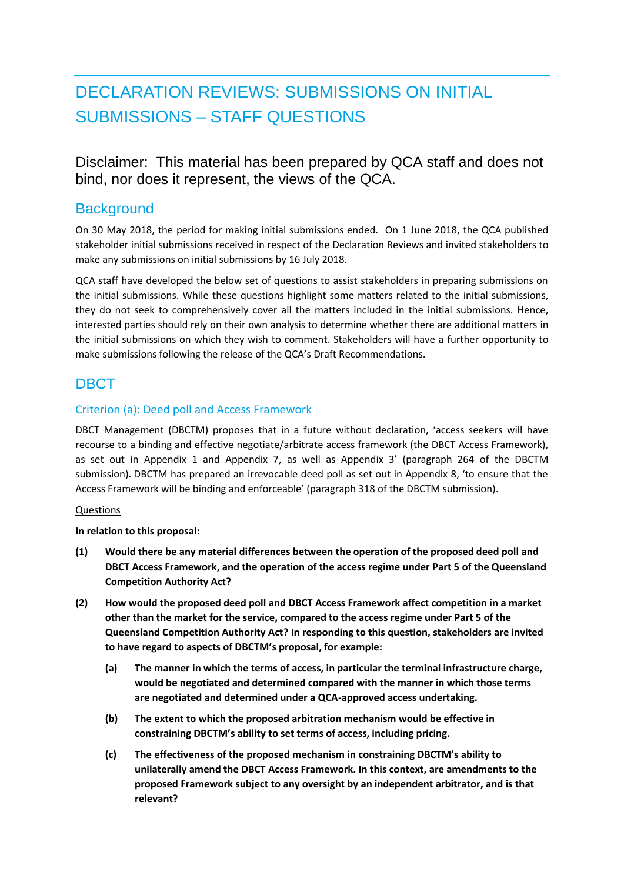# DECLARATION REVIEWS: SUBMISSIONS ON INITIAL SUBMISSIONS – STAFF QUESTIONS

Disclaimer: This material has been prepared by QCA staff and does not bind, nor does it represent, the views of the QCA.

## **Background**

On 30 May 2018, the period for making initial submissions ended. On 1 June 2018, the QCA published stakeholder initial submissions received in respect of the Declaration Reviews and invited stakeholders to make any submissions on initial submissions by 16 July 2018.

QCA staff have developed the below set of questions to assist stakeholders in preparing submissions on the initial submissions. While these questions highlight some matters related to the initial submissions, they do not seek to comprehensively cover all the matters included in the initial submissions. Hence, interested parties should rely on their own analysis to determine whether there are additional matters in the initial submissions on which they wish to comment. Stakeholders will have a further opportunity to make submissions following the release of the QCA's Draft Recommendations.

## DBCT

### Criterion (a): Deed poll and Access Framework

DBCT Management (DBCTM) proposes that in a future without declaration, 'access seekers will have recourse to a binding and effective negotiate/arbitrate access framework (the DBCT Access Framework), as set out in Appendix 1 and Appendix 7, as well as Appendix 3' (paragraph 264 of the DBCTM submission). DBCTM has prepared an irrevocable deed poll as set out in Appendix 8, 'to ensure that the Access Framework will be binding and enforceable' (paragraph 318 of the DBCTM submission).

#### Questions

**In relation to this proposal:**

- **(1) Would there be any material differences between the operation of the proposed deed poll and DBCT Access Framework, and the operation of the access regime under Part 5 of the Queensland Competition Authority Act?**
- **(2) How would the proposed deed poll and DBCT Access Framework affect competition in a market other than the market for the service, compared to the access regime under Part 5 of the Queensland Competition Authority Act? In responding to this question, stakeholders are invited to have regard to aspects of DBCTM's proposal, for example:**
	- **(a) The manner in which the terms of access, in particular the terminal infrastructure charge, would be negotiated and determined compared with the manner in which those terms are negotiated and determined under a QCA-approved access undertaking.**
	- **(b) The extent to which the proposed arbitration mechanism would be effective in constraining DBCTM's ability to set terms of access, including pricing.**
	- **(c) The effectiveness of the proposed mechanism in constraining DBCTM's ability to unilaterally amend the DBCT Access Framework. In this context, are amendments to the proposed Framework subject to any oversight by an independent arbitrator, and is that relevant?**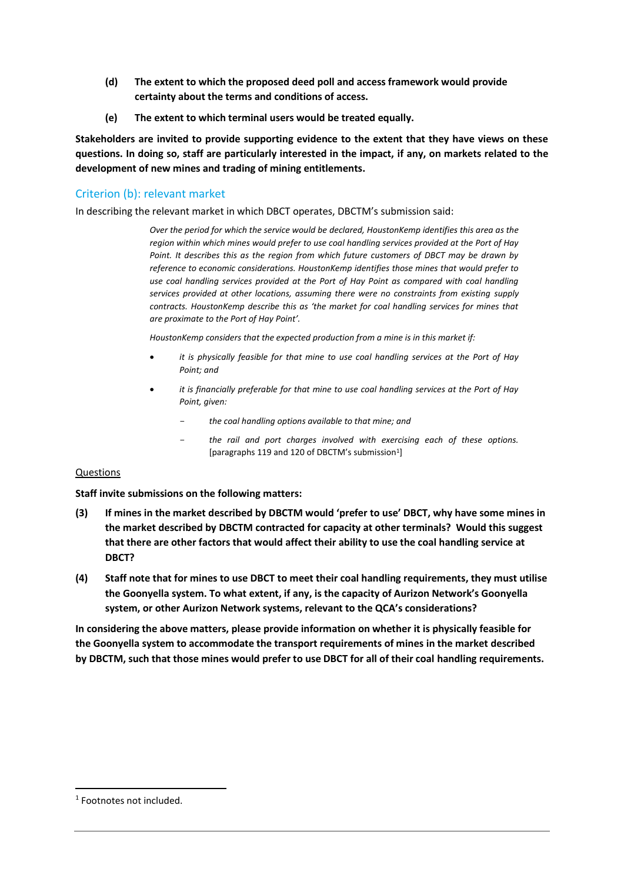- **(d) The extent to which the proposed deed poll and access framework would provide certainty about the terms and conditions of access.**
- **(e) The extent to which terminal users would be treated equally.**

**Stakeholders are invited to provide supporting evidence to the extent that they have views on these questions. In doing so, staff are particularly interested in the impact, if any, on markets related to the development of new mines and trading of mining entitlements.**

#### Criterion (b): relevant market

In describing the relevant market in which DBCT operates, DBCTM's submission said:

*Over the period for which the service would be declared, HoustonKemp identifies this area as the region within which mines would prefer to use coal handling services provided at the Port of Hay*  Point. It describes this as the region from which future customers of DBCT may be drawn by *reference to economic considerations. HoustonKemp identifies those mines that would prefer to*  use coal handling services provided at the Port of Hay Point as compared with coal handling *services provided at other locations, assuming there were no constraints from existing supply contracts. HoustonKemp describe this as 'the market for coal handling services for mines that are proximate to the Port of Hay Point'.* 

*HoustonKemp considers that the expected production from a mine is in this market if:*

- *it is physically feasible for that mine to use coal handling services at the Port of Hay Point; and*
- *it is financially preferable for that mine to use coal handling services at the Port of Hay Point, given:* 
	- *the coal handling options available to that mine; and*
	- *the rail and port charges involved with exercising each of these options.*  [paragraphs 119 and 120 of DBCTM's submission<sup>1</sup>]

#### Questions

**Staff invite submissions on the following matters:**

- **(3) If mines in the market described by DBCTM would 'prefer to use' DBCT, why have some mines in the market described by DBCTM contracted for capacity at other terminals? Would this suggest that there are other factors that would affect their ability to use the coal handling service at DBCT?**
- **(4) Staff note that for mines to use DBCT to meet their coal handling requirements, they must utilise the Goonyella system. To what extent, if any, is the capacity of Aurizon Network's Goonyella system, or other Aurizon Network systems, relevant to the QCA's considerations?**

**In considering the above matters, please provide information on whether it is physically feasible for the Goonyella system to accommodate the transport requirements of mines in the market described by DBCTM, such that those mines would prefer to use DBCT for all of their coal handling requirements.** 

-

<sup>1</sup> Footnotes not included.